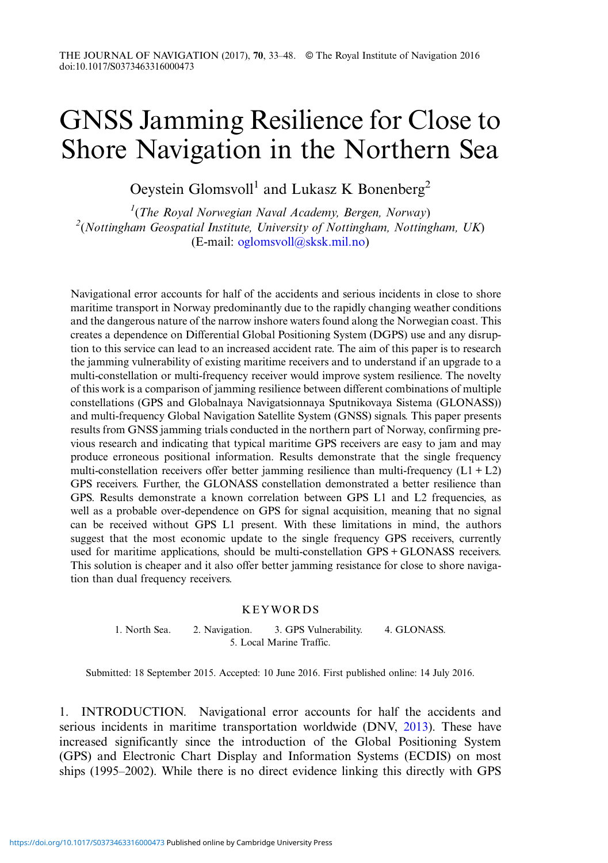## GNSS Jamming Resilience for Close to Shore Navigation in the Northern Sea

Oeystein Glomsvoll<sup>1</sup> and Lukasz K Bonenberg<sup>2</sup>

 $1$ (The Royal Norwegian Naval Academy, Bergen, Norway)  $^{2}$ (Nottingham Geospatial Institute, University of Nottingham, Nottingham, UK) (E-mail: [oglomsvoll@sksk.mil.no](mailto:oglomsvoll@sksk.mil.no))

Navigational error accounts for half of the accidents and serious incidents in close to shore maritime transport in Norway predominantly due to the rapidly changing weather conditions and the dangerous nature of the narrow inshore waters found along the Norwegian coast. This creates a dependence on Differential Global Positioning System (DGPS) use and any disruption to this service can lead to an increased accident rate. The aim of this paper is to research the jamming vulnerability of existing maritime receivers and to understand if an upgrade to a multi-constellation or multi-frequency receiver would improve system resilience. The novelty of this work is a comparison of jamming resilience between different combinations of multiple constellations (GPS and Globalnaya Navigatsionnaya Sputnikovaya Sistema (GLONASS)) and multi-frequency Global Navigation Satellite System (GNSS) signals. This paper presents results from GNSS jamming trials conducted in the northern part of Norway, confirming previous research and indicating that typical maritime GPS receivers are easy to jam and may produce erroneous positional information. Results demonstrate that the single frequency multi-constellation receivers offer better jamming resilience than multi-frequency  $(L1 + L2)$ GPS receivers. Further, the GLONASS constellation demonstrated a better resilience than GPS. Results demonstrate a known correlation between GPS L1 and L2 frequencies, as well as a probable over-dependence on GPS for signal acquisition, meaning that no signal can be received without GPS L1 present. With these limitations in mind, the authors suggest that the most economic update to the single frequency GPS receivers, currently used for maritime applications, should be multi-constellation GPS + GLONASS receivers. This solution is cheaper and it also offer better jamming resistance for close to shore navigation than dual frequency receivers.

## KEYWORDS

1. North Sea. 2. Navigation. 3. GPS Vulnerability. 4. GLONASS. 5. Local Marine Traffic.

Submitted: 18 September 2015. Accepted: 10 June 2016. First published online: 14 July 2016.

1. INTRODUCTION. Navigational error accounts for half the accidents and serious incidents in maritime transportation worldwide (DNV, [2013\)](#page-14-0). These have increased significantly since the introduction of the Global Positioning System (GPS) and Electronic Chart Display and Information Systems (ECDIS) on most ships (1995–2002). While there is no direct evidence linking this directly with GPS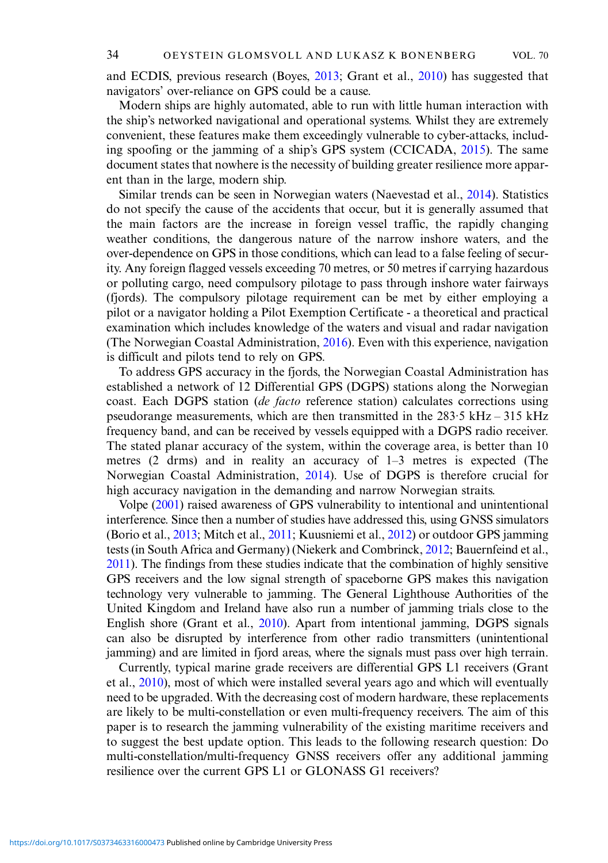and ECDIS, previous research (Boyes, [2013](#page-14-0); Grant et al., [2010](#page-14-0)) has suggested that navigators' over-reliance on GPS could be a cause.

Modern ships are highly automated, able to run with little human interaction with the ship's networked navigational and operational systems. Whilst they are extremely convenient, these features make them exceedingly vulnerable to cyber-attacks, including spoofing or the jamming of a ship's GPS system (CCICADA, [2015](#page-14-0)). The same document states that nowhere is the necessity of building greater resilience more apparent than in the large, modern ship.

Similar trends can be seen in Norwegian waters (Naevestad et al., [2014\)](#page-15-0). Statistics do not specify the cause of the accidents that occur, but it is generally assumed that the main factors are the increase in foreign vessel traffic, the rapidly changing weather conditions, the dangerous nature of the narrow inshore waters, and the over-dependence on GPS in those conditions, which can lead to a false feeling of security. Any foreign flagged vessels exceeding 70 metres, or 50 metres if carrying hazardous or polluting cargo, need compulsory pilotage to pass through inshore water fairways (fjords). The compulsory pilotage requirement can be met by either employing a pilot or a navigator holding a Pilot Exemption Certificate - a theoretical and practical examination which includes knowledge of the waters and visual and radar navigation (The Norwegian Coastal Administration, [2016](#page-15-0)). Even with this experience, navigation is difficult and pilots tend to rely on GPS.

To address GPS accuracy in the fjords, the Norwegian Coastal Administration has established a network of 12 Differential GPS (DGPS) stations along the Norwegian coast. Each DGPS station (de facto reference station) calculates corrections using pseudorange measurements, which are then transmitted in the 283·5 kHz – 315 kHz frequency band, and can be received by vessels equipped with a DGPS radio receiver. The stated planar accuracy of the system, within the coverage area, is better than 10 metres (2 drms) and in reality an accuracy of 1–3 metres is expected (The Norwegian Coastal Administration, [2014\)](#page-15-0). Use of DGPS is therefore crucial for high accuracy navigation in the demanding and narrow Norwegian straits.

Volpe [\(2001\)](#page-15-0) raised awareness of GPS vulnerability to intentional and unintentional interference. Since then a number of studies have addressed this, using GNSS simulators (Borio et al., [2013](#page-14-0); Mitch et al., [2011](#page-15-0); Kuusniemi et al., [2012](#page-15-0)) or outdoor GPS jamming tests (in South Africa and Germany) (Niekerk and Combrinck, [2012;](#page-15-0) Bauernfeind et al., [2011](#page-14-0)). The findings from these studies indicate that the combination of highly sensitive GPS receivers and the low signal strength of spaceborne GPS makes this navigation technology very vulnerable to jamming. The General Lighthouse Authorities of the United Kingdom and Ireland have also run a number of jamming trials close to the English shore (Grant et al., [2010\)](#page-14-0). Apart from intentional jamming, DGPS signals can also be disrupted by interference from other radio transmitters (unintentional jamming) and are limited in fjord areas, where the signals must pass over high terrain.

Currently, typical marine grade receivers are differential GPS L1 receivers (Grant et al., [2010\)](#page-14-0), most of which were installed several years ago and which will eventually need to be upgraded. With the decreasing cost of modern hardware, these replacements are likely to be multi-constellation or even multi-frequency receivers. The aim of this paper is to research the jamming vulnerability of the existing maritime receivers and to suggest the best update option. This leads to the following research question: Do multi-constellation/multi-frequency GNSS receivers offer any additional jamming resilience over the current GPS L1 or GLONASS G1 receivers?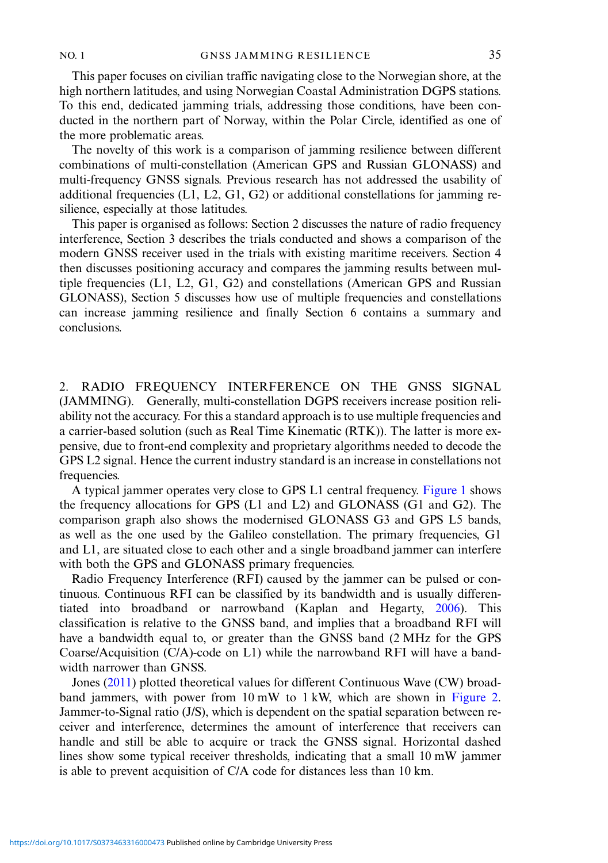This paper focuses on civilian traffic navigating close to the Norwegian shore, at the high northern latitudes, and using Norwegian Coastal Administration DGPS stations. To this end, dedicated jamming trials, addressing those conditions, have been conducted in the northern part of Norway, within the Polar Circle, identified as one of the more problematic areas.

The novelty of this work is a comparison of jamming resilience between different combinations of multi-constellation (American GPS and Russian GLONASS) and multi-frequency GNSS signals. Previous research has not addressed the usability of additional frequencies (L1, L2, G1, G2) or additional constellations for jamming resilience, especially at those latitudes.

This paper is organised as follows: Section 2 discusses the nature of radio frequency interference, Section 3 describes the trials conducted and shows a comparison of the modern GNSS receiver used in the trials with existing maritime receivers. Section 4 then discusses positioning accuracy and compares the jamming results between multiple frequencies (L1, L2, G1, G2) and constellations (American GPS and Russian GLONASS), Section 5 discusses how use of multiple frequencies and constellations can increase jamming resilience and finally Section 6 contains a summary and conclusions.

2. RADIO FREQUENCY INTERFERENCE ON THE GNSS SIGNAL (JAMMING). Generally, multi-constellation DGPS receivers increase position reliability not the accuracy. For this a standard approach is to use multiple frequencies and a carrier-based solution (such as Real Time Kinematic (RTK)). The latter is more expensive, due to front-end complexity and proprietary algorithms needed to decode the GPS L2 signal. Hence the current industry standard is an increase in constellations not frequencies.

A typical jammer operates very close to GPS L1 central frequency. [Figure 1](#page-3-0) shows the frequency allocations for GPS (L1 and L2) and GLONASS (G1 and G2). The comparison graph also shows the modernised GLONASS G3 and GPS L5 bands, as well as the one used by the Galileo constellation. The primary frequencies, G1 and L1, are situated close to each other and a single broadband jammer can interfere with both the GPS and GLONASS primary frequencies.

Radio Frequency Interference (RFI) caused by the jammer can be pulsed or continuous. Continuous RFI can be classified by its bandwidth and is usually differentiated into broadband or narrowband (Kaplan and Hegarty, [2006](#page-14-0)). This classification is relative to the GNSS band, and implies that a broadband RFI will have a bandwidth equal to, or greater than the GNSS band (2 MHz for the GPS Coarse/Acquisition (C/A)-code on L1) while the narrowband RFI will have a bandwidth narrower than GNSS.

Jones [\(2011](#page-14-0)) plotted theoretical values for different Continuous Wave (CW) broadband jammers, with power from 10 mW to 1 kW, which are shown in [Figure 2](#page-3-0). Jammer-to-Signal ratio (J/S), which is dependent on the spatial separation between receiver and interference, determines the amount of interference that receivers can handle and still be able to acquire or track the GNSS signal. Horizontal dashed lines show some typical receiver thresholds, indicating that a small 10 mW jammer is able to prevent acquisition of C/A code for distances less than 10 km.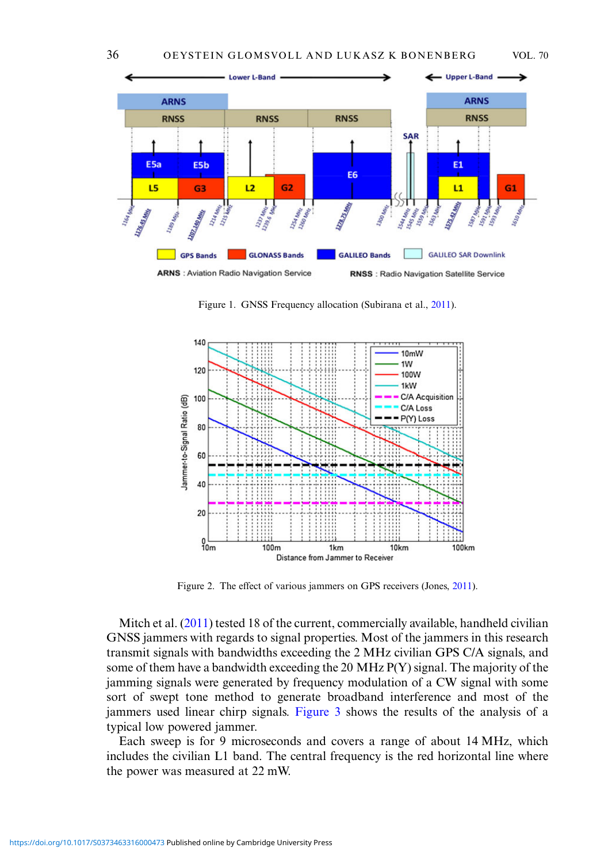<span id="page-3-0"></span>

Figure 1. GNSS Frequency allocation (Subirana et al., [2011\)](#page-15-0).



Figure 2. The effect of various jammers on GPS receivers (Jones, [2011](#page-14-0)).

Mitch et al. [\(2011](#page-15-0)) tested 18 of the current, commercially available, handheld civilian GNSS jammers with regards to signal properties. Most of the jammers in this research transmit signals with bandwidths exceeding the 2 MHz civilian GPS C/A signals, and some of them have a bandwidth exceeding the 20 MHz P(Y) signal. The majority of the jamming signals were generated by frequency modulation of a CW signal with some sort of swept tone method to generate broadband interference and most of the jammers used linear chirp signals. [Figure 3](#page-4-0) shows the results of the analysis of a typical low powered jammer.

Each sweep is for 9 microseconds and covers a range of about 14 MHz, which includes the civilian L1 band. The central frequency is the red horizontal line where the power was measured at 22 mW.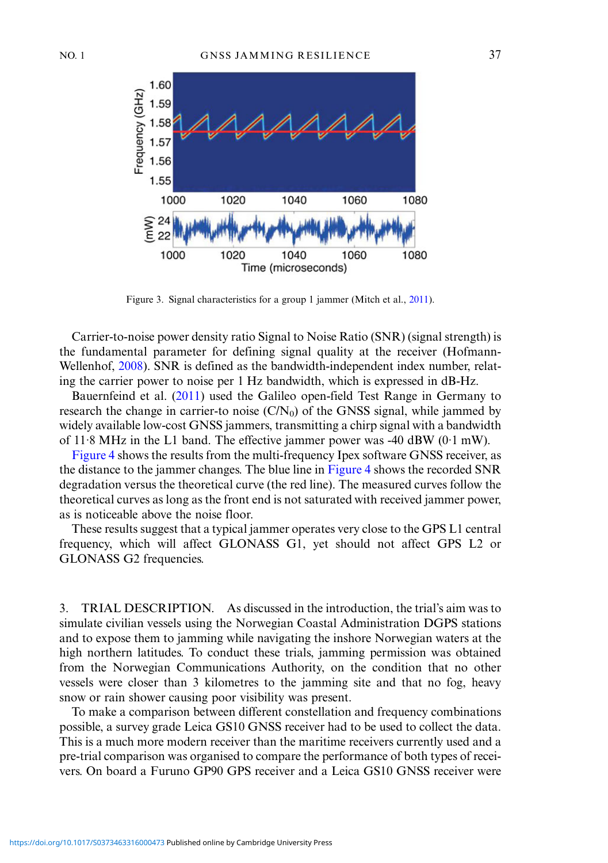<span id="page-4-0"></span>

Figure 3. Signal characteristics for a group 1 jammer (Mitch et al., [2011\)](#page-15-0).

Carrier-to-noise power density ratio Signal to Noise Ratio (SNR) (signal strength) is the fundamental parameter for defining signal quality at the receiver (Hofmann-Wellenhof, [2008](#page-14-0)). SNR is defined as the bandwidth-independent index number, relating the carrier power to noise per 1 Hz bandwidth, which is expressed in dB-Hz.

Bauernfeind et al. ([2011\)](#page-14-0) used the Galileo open-field Test Range in Germany to research the change in carrier-to noise  $(C/N_0)$  of the GNSS signal, while jammed by widely available low-cost GNSS jammers, transmitting a chirp signal with a bandwidth of 11·8 MHz in the L1 band. The effective jammer power was -40 dBW (0·1 mW).

[Figure 4](#page-5-0) shows the results from the multi-frequency Ipex software GNSS receiver, as the distance to the jammer changes. The blue line in [Figure 4](#page-5-0) shows the recorded SNR degradation versus the theoretical curve (the red line). The measured curves follow the theoretical curves as long as the front end is not saturated with received jammer power, as is noticeable above the noise floor.

These results suggest that a typical jammer operates very close to the GPS L1 central frequency, which will affect GLONASS G1, yet should not affect GPS L2 or GLONASS G2 frequencies.

3. TRIAL DESCRIPTION. As discussed in the introduction, the trial's aim was to simulate civilian vessels using the Norwegian Coastal Administration DGPS stations and to expose them to jamming while navigating the inshore Norwegian waters at the high northern latitudes. To conduct these trials, jamming permission was obtained from the Norwegian Communications Authority, on the condition that no other vessels were closer than 3 kilometres to the jamming site and that no fog, heavy snow or rain shower causing poor visibility was present.

To make a comparison between different constellation and frequency combinations possible, a survey grade Leica GS10 GNSS receiver had to be used to collect the data. This is a much more modern receiver than the maritime receivers currently used and a pre-trial comparison was organised to compare the performance of both types of receivers. On board a Furuno GP90 GPS receiver and a Leica GS10 GNSS receiver were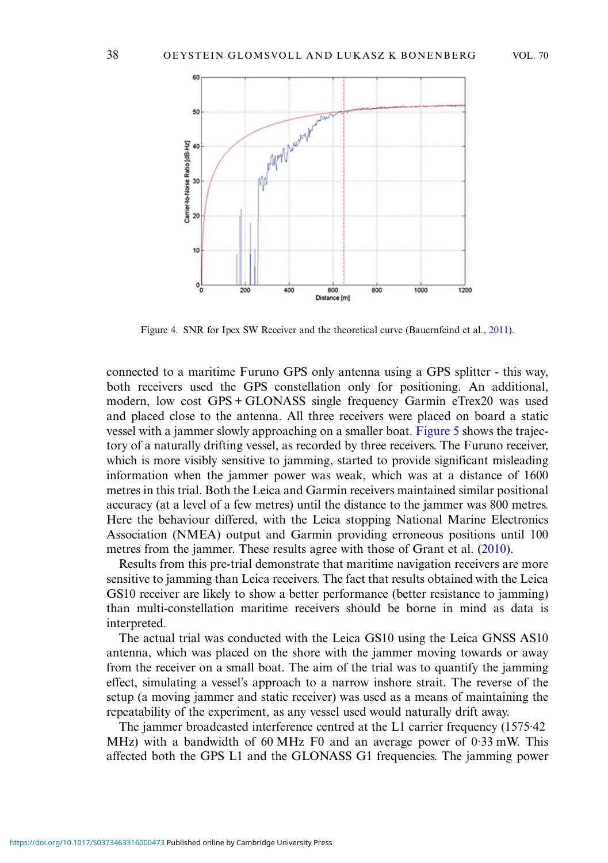<span id="page-5-0"></span>

Figure 4. SNR for Ipex SW Receiver and the theoretical curve (Bauernfeind et al., [2011\)](#page-14-0).

connected to a maritime Furuno GPS only antenna using a GPS splitter - this way, both receivers used the GPS constellation only for positioning. An additional, modern, low cost GPS + GLONASS single frequency Garmin eTrex20 was used and placed close to the antenna. All three receivers were placed on board a static vessel with a jammer slowly approaching on a smaller boat. [Figure 5](#page-6-0) shows the trajectory of a naturally drifting vessel, as recorded by three receivers. The Furuno receiver, which is more visibly sensitive to jamming, started to provide significant misleading information when the jammer power was weak, which was at a distance of 1600 metres in this trial. Both the Leica and Garmin receivers maintained similar positional accuracy (at a level of a few metres) until the distance to the jammer was 800 metres. Here the behaviour differed, with the Leica stopping National Marine Electronics Association (NMEA) output and Garmin providing erroneous positions until 100 metres from the jammer. These results agree with those of Grant et al. ([2010\)](#page-14-0).

Results from this pre-trial demonstrate that maritime navigation receivers are more sensitive to jamming than Leica receivers. The fact that results obtained with the Leica GS10 receiver are likely to show a better performance (better resistance to jamming) than multi-constellation maritime receivers should be borne in mind as data is interpreted.

The actual trial was conducted with the Leica GS10 using the Leica GNSS AS10 antenna, which was placed on the shore with the jammer moving towards or away from the receiver on a small boat. The aim of the trial was to quantify the jamming effect, simulating a vessel's approach to a narrow inshore strait. The reverse of the setup (a moving jammer and static receiver) was used as a means of maintaining the repeatability of the experiment, as any vessel used would naturally drift away.

The jammer broadcasted interference centred at the L1 carrier frequency (1575·42 MHz) with a bandwidth of 60 MHz F0 and an average power of 0·33 mW. This affected both the GPS L1 and the GLONASS G1 frequencies. The jamming power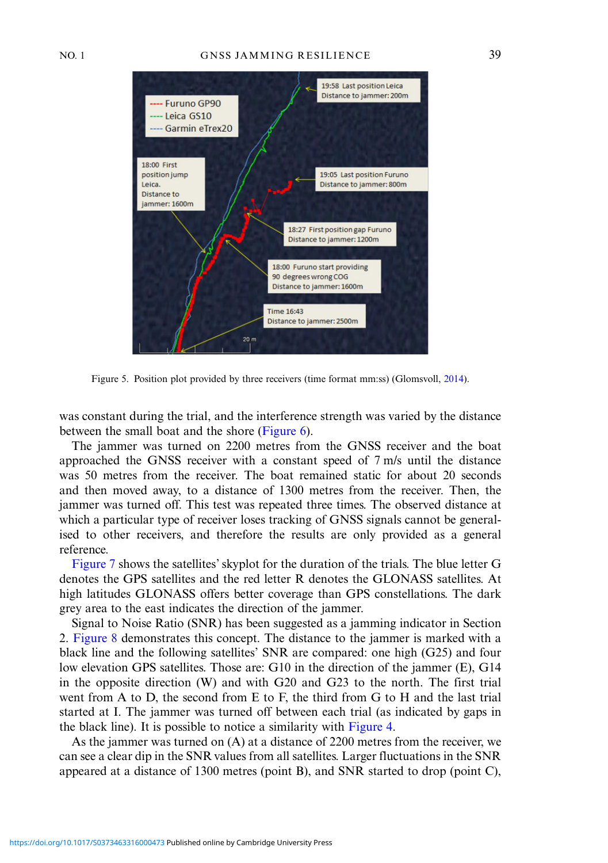<span id="page-6-0"></span>

Figure 5. Position plot provided by three receivers (time format mm:ss) (Glomsvoll, [2014](#page-14-0)).

was constant during the trial, and the interference strength was varied by the distance between the small boat and the shore ([Figure 6](#page-7-0)).

The jammer was turned on 2200 metres from the GNSS receiver and the boat approached the GNSS receiver with a constant speed of 7 m/s until the distance was 50 metres from the receiver. The boat remained static for about 20 seconds and then moved away, to a distance of 1300 metres from the receiver. Then, the jammer was turned off. This test was repeated three times. The observed distance at which a particular type of receiver loses tracking of GNSS signals cannot be generalised to other receivers, and therefore the results are only provided as a general reference.

[Figure 7](#page-7-0) shows the satellites'skyplot for the duration of the trials. The blue letter G denotes the GPS satellites and the red letter R denotes the GLONASS satellites. At high latitudes GLONASS offers better coverage than GPS constellations. The dark grey area to the east indicates the direction of the jammer.

Signal to Noise Ratio (SNR) has been suggested as a jamming indicator in Section 2. [Figure 8](#page-8-0) demonstrates this concept. The distance to the jammer is marked with a black line and the following satellites' SNR are compared: one high (G25) and four low elevation GPS satellites. Those are: G10 in the direction of the jammer (E), G14 in the opposite direction (W) and with G20 and G23 to the north. The first trial went from A to D, the second from E to F, the third from G to H and the last trial started at I. The jammer was turned off between each trial (as indicated by gaps in the black line). It is possible to notice a similarity with [Figure 4.](#page-5-0)

As the jammer was turned on (A) at a distance of 2200 metres from the receiver, we can see a clear dip in the SNR values from all satellites. Larger fluctuations in the SNR appeared at a distance of 1300 metres (point B), and SNR started to drop (point C),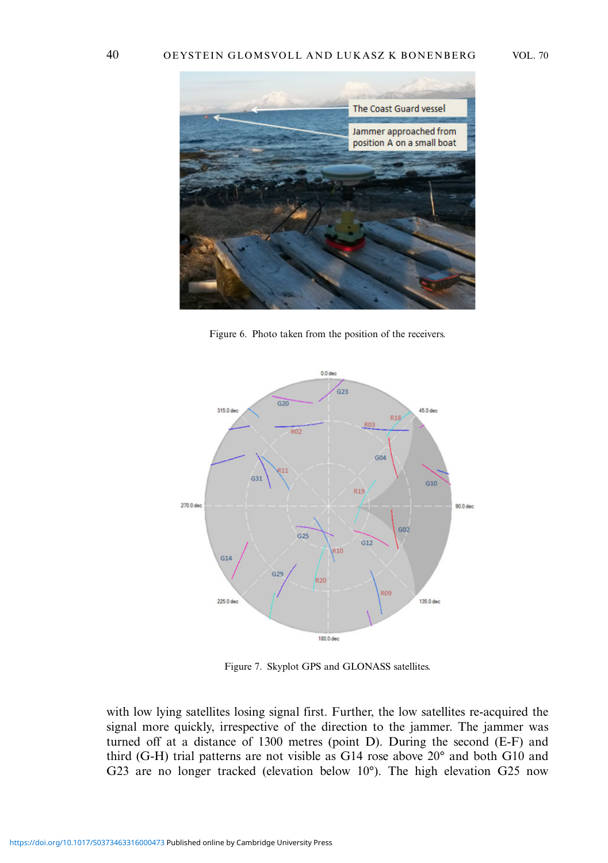<span id="page-7-0"></span>

Figure 6. Photo taken from the position of the receivers.



Figure 7. Skyplot GPS and GLONASS satellites.

with low lying satellites losing signal first. Further, the low satellites re-acquired the signal more quickly, irrespective of the direction to the jammer. The jammer was turned off at a distance of 1300 metres (point D). During the second (E-F) and third (G-H) trial patterns are not visible as G14 rose above 20° and both G10 and G23 are no longer tracked (elevation below 10°). The high elevation G25 now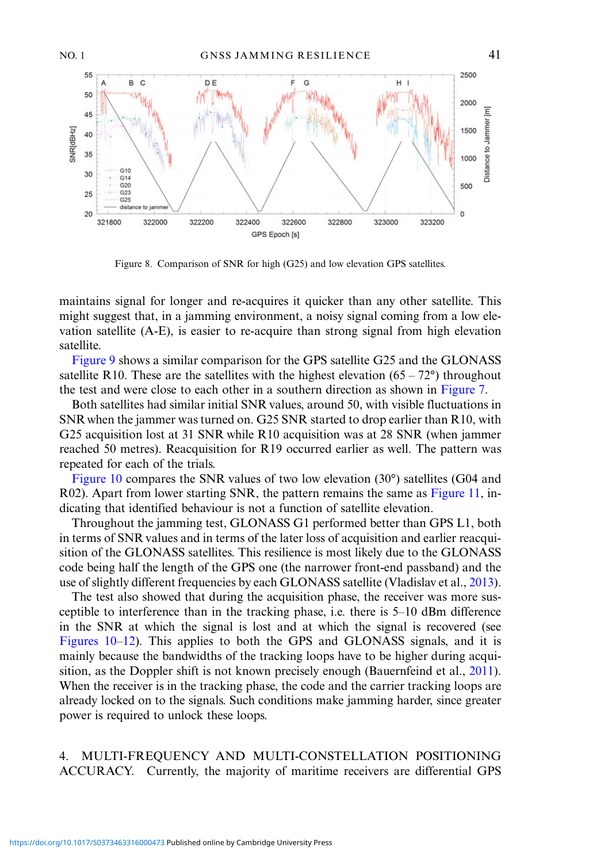<span id="page-8-0"></span>

Figure 8. Comparison of SNR for high (G25) and low elevation GPS satellites.

maintains signal for longer and re-acquires it quicker than any other satellite. This might suggest that, in a jamming environment, a noisy signal coming from a low elevation satellite (A-E), is easier to re-acquire than strong signal from high elevation satellite.

[Figure 9](#page-9-0) shows a similar comparison for the GPS satellite G25 and the GLONASS satellite R10. These are the satellites with the highest elevation  $(65 - 72^{\circ})$  throughout the test and were close to each other in a southern direction as shown in [Figure 7](#page-7-0).

Both satellites had similar initial SNR values, around 50, with visible fluctuations in SNRwhen the jammer was turned on. G25 SNR started to drop earlier than R10, with G25 acquisition lost at 31 SNR while R10 acquisition was at 28 SNR (when jammer reached 50 metres). Reacquisition for R19 occurred earlier as well. The pattern was repeated for each of the trials.

[Figure 10](#page-9-0) compares the SNR values of two low elevation (30°) satellites (G04 and R02). Apart from lower starting SNR, the pattern remains the same as [Figure 11,](#page-9-0) indicating that identified behaviour is not a function of satellite elevation.

Throughout the jamming test, GLONASS G1 performed better than GPS L1, both in terms of SNR values and in terms of the later loss of acquisition and earlier reacquisition of the GLONASS satellites. This resilience is most likely due to the GLONASS code being half the length of the GPS one (the narrower front-end passband) and the use of slightly different frequencies by each GLONASS satellite (Vladislav et al., [2013\)](#page-15-0).

The test also showed that during the acquisition phase, the receiver was more susceptible to interference than in the tracking phase, i.e. there is 5–10 dBm difference in the SNR at which the signal is lost and at which the signal is recovered (see [Figures 10](#page-9-0)–[12\)](#page-10-0). This applies to both the GPS and GLONASS signals, and it is mainly because the bandwidths of the tracking loops have to be higher during acqui-sition, as the Doppler shift is not known precisely enough (Bauernfeind et al., [2011\)](#page-14-0). When the receiver is in the tracking phase, the code and the carrier tracking loops are already locked on to the signals. Such conditions make jamming harder, since greater power is required to unlock these loops.

4. MULTI-FREQUENCY AND MULTI-CONSTELLATION POSITIONING ACCURACY. Currently, the majority of maritime receivers are differential GPS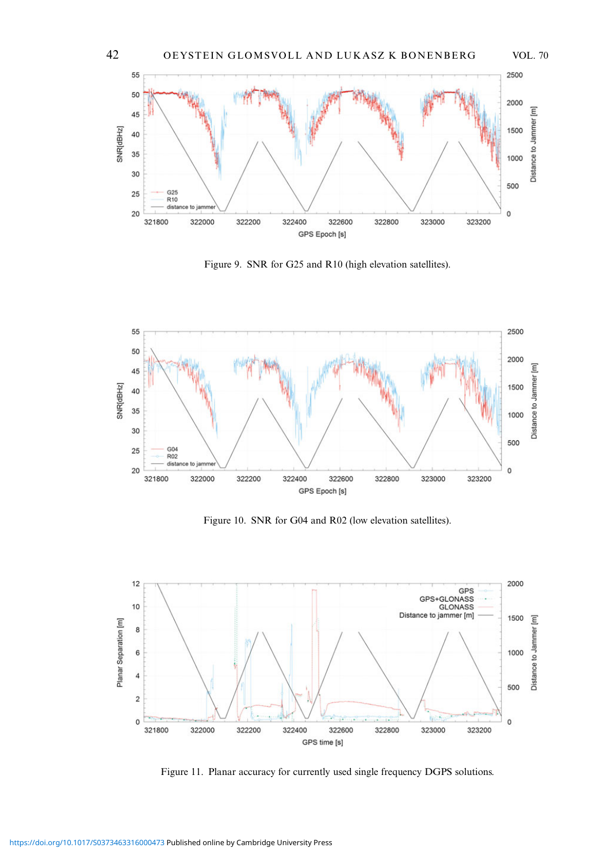<span id="page-9-0"></span>

Figure 9. SNR for G25 and R10 (high elevation satellites).



Figure 10. SNR for G04 and R02 (low elevation satellites).



Figure 11. Planar accuracy for currently used single frequency DGPS solutions.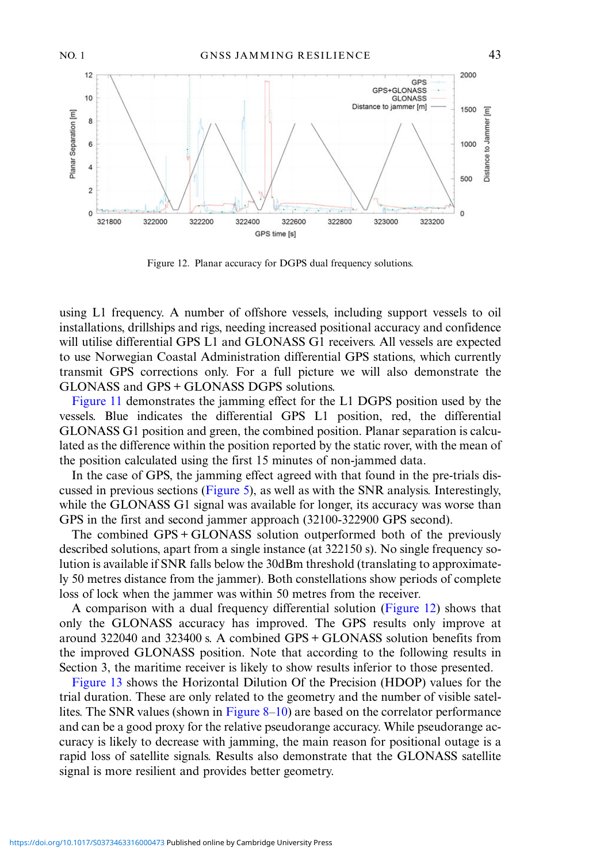<span id="page-10-0"></span>

Figure 12. Planar accuracy for DGPS dual frequency solutions.

using L1 frequency. A number of offshore vessels, including support vessels to oil installations, drillships and rigs, needing increased positional accuracy and confidence will utilise differential GPS L1 and GLONASS G1 receivers. All vessels are expected to use Norwegian Coastal Administration differential GPS stations, which currently transmit GPS corrections only. For a full picture we will also demonstrate the GLONASS and GPS + GLONASS DGPS solutions.

[Figure 11](#page-9-0) demonstrates the jamming effect for the L1 DGPS position used by the vessels. Blue indicates the differential GPS L1 position, red, the differential GLONASS G1 position and green, the combined position. Planar separation is calculated as the difference within the position reported by the static rover, with the mean of the position calculated using the first 15 minutes of non-jammed data.

In the case of GPS, the jamming effect agreed with that found in the pre-trials discussed in previous sections ([Figure 5](#page-6-0)), as well as with the SNR analysis. Interestingly, while the GLONASS G1 signal was available for longer, its accuracy was worse than GPS in the first and second jammer approach (32100-322900 GPS second).

The combined GPS + GLONASS solution outperformed both of the previously described solutions, apart from a single instance (at 322150 s). No single frequency solution is available if SNR falls below the 30dBm threshold (translating to approximately 50 metres distance from the jammer). Both constellations show periods of complete loss of lock when the jammer was within 50 metres from the receiver.

A comparison with a dual frequency differential solution (Figure 12) shows that only the GLONASS accuracy has improved. The GPS results only improve at around 322040 and 323400 s. A combined GPS + GLONASS solution benefits from the improved GLONASS position. Note that according to the following results in Section 3, the maritime receiver is likely to show results inferior to those presented.

[Figure 13](#page-11-0) shows the Horizontal Dilution Of the Precision (HDOP) values for the trial duration. These are only related to the geometry and the number of visible satellites. The SNR values (shown in Figure  $8-10$  $8-10$ ) are based on the correlator performance and can be a good proxy for the relative pseudorange accuracy. While pseudorange accuracy is likely to decrease with jamming, the main reason for positional outage is a rapid loss of satellite signals. Results also demonstrate that the GLONASS satellite signal is more resilient and provides better geometry.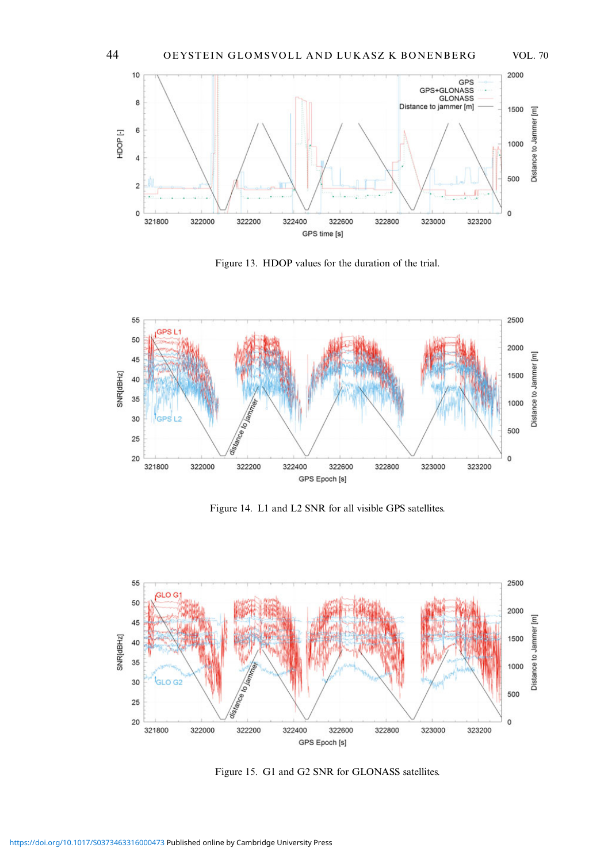<span id="page-11-0"></span>

Figure 13. HDOP values for the duration of the trial.



Figure 14. L1 and L2 SNR for all visible GPS satellites.



Figure 15. G1 and G2 SNR for GLONASS satellites.

<https://doi.org/10.1017/S0373463316000473>Published online by Cambridge University Press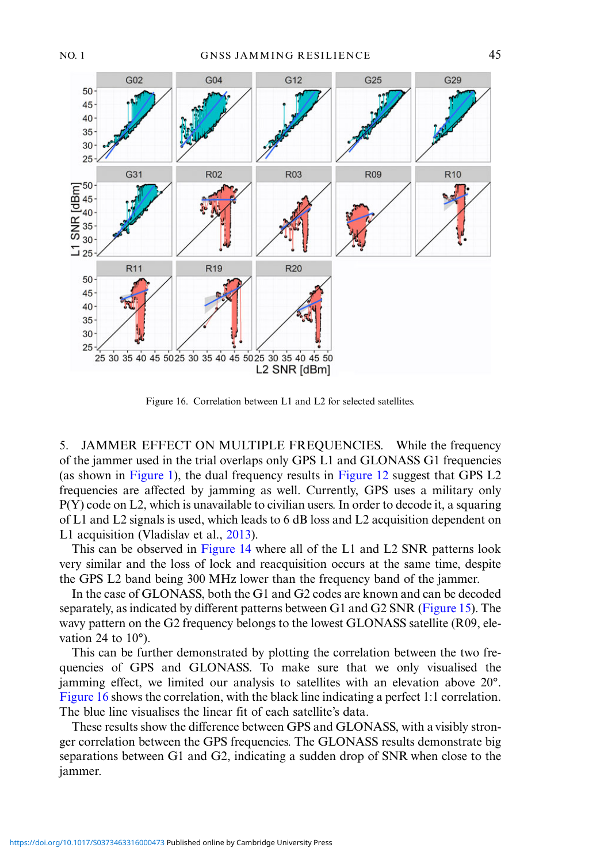

Figure 16. Correlation between L1 and L2 for selected satellites.

5. JAMMER EFFECT ON MULTIPLE FREQUENCIES. While the frequency of the jammer used in the trial overlaps only GPS L1 and GLONASS G1 frequencies (as shown in [Figure 1](#page-3-0)), the dual frequency results in [Figure 12](#page-10-0) suggest that GPS L2 frequencies are affected by jamming as well. Currently, GPS uses a military only P(Y) code on L2, which is unavailable to civilian users. In order to decode it, a squaring of L1 and L2 signals is used, which leads to 6 dB loss and L2 acquisition dependent on L1 acquisition (Vladislav et al., [2013\)](#page-15-0).

This can be observed in [Figure 14](#page-11-0) where all of the L1 and L2 SNR patterns look very similar and the loss of lock and reacquisition occurs at the same time, despite the GPS L2 band being 300 MHz lower than the frequency band of the jammer.

In the case of GLONASS, both the G1 and G2 codes are known and can be decoded separately, as indicated by different patterns between G1 and G2 SNR [\(Figure 15](#page-11-0)). The wavy pattern on the G2 frequency belongs to the lowest GLONASS satellite (R09, elevation 24 to  $10^{\circ}$ ).

This can be further demonstrated by plotting the correlation between the two frequencies of GPS and GLONASS. To make sure that we only visualised the jamming effect, we limited our analysis to satellites with an elevation above 20°. Figure 16 shows the correlation, with the black line indicating a perfect 1:1 correlation. The blue line visualises the linear fit of each satellite's data.

These results show the difference between GPS and GLONASS, with a visibly stronger correlation between the GPS frequencies. The GLONASS results demonstrate big separations between G1 and G2, indicating a sudden drop of SNR when close to the jammer.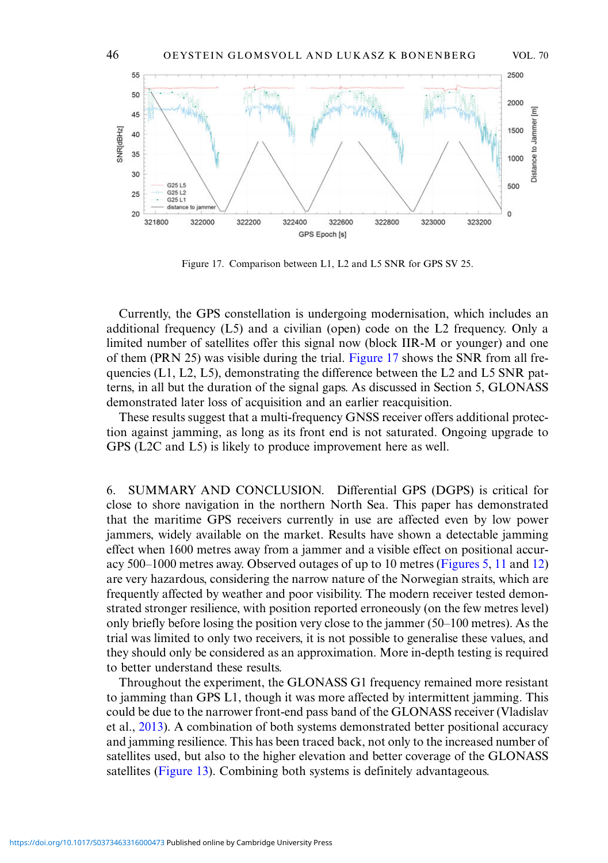

Figure 17. Comparison between L1, L2 and L5 SNR for GPS SV 25.

Currently, the GPS constellation is undergoing modernisation, which includes an additional frequency (L5) and a civilian (open) code on the L2 frequency. Only a limited number of satellites offer this signal now (block IIR-M or younger) and one of them (PRN 25) was visible during the trial. Figure 17 shows the SNR from all frequencies (L1, L2, L5), demonstrating the difference between the L2 and L5 SNR patterns, in all but the duration of the signal gaps. As discussed in Section 5, GLONASS demonstrated later loss of acquisition and an earlier reacquisition.

These results suggest that a multi-frequency GNSS receiver offers additional protection against jamming, as long as its front end is not saturated. Ongoing upgrade to GPS (L2C and L5) is likely to produce improvement here as well.

6. SUMMARY AND CONCLUSION. Differential GPS (DGPS) is critical for close to shore navigation in the northern North Sea. This paper has demonstrated that the maritime GPS receivers currently in use are affected even by low power jammers, widely available on the market. Results have shown a detectable jamming effect when 1600 metres away from a jammer and a visible effect on positional accuracy 500–1000 metres away. Observed outages of up to 10 metres [\(Figures 5](#page-6-0), [11](#page-9-0) and [12\)](#page-10-0) are very hazardous, considering the narrow nature of the Norwegian straits, which are frequently affected by weather and poor visibility. The modern receiver tested demonstrated stronger resilience, with position reported erroneously (on the few metres level) only briefly before losing the position very close to the jammer (50–100 metres). As the trial was limited to only two receivers, it is not possible to generalise these values, and they should only be considered as an approximation. More in-depth testing is required to better understand these results.

Throughout the experiment, the GLONASS G1 frequency remained more resistant to jamming than GPS L1, though it was more affected by intermittent jamming. This could be due to the narrower front-end pass band of the GLONASS receiver (Vladislav et al., [2013\)](#page-15-0). A combination of both systems demonstrated better positional accuracy and jamming resilience. This has been traced back, not only to the increased number of satellites used, but also to the higher elevation and better coverage of the GLONASS satellites [\(Figure 13](#page-11-0)). Combining both systems is definitely advantageous.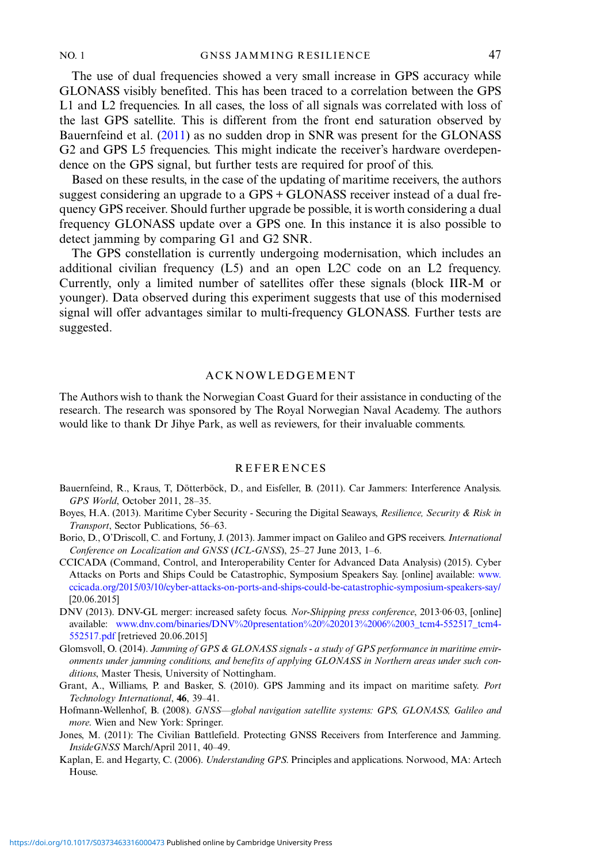<span id="page-14-0"></span>The use of dual frequencies showed a very small increase in GPS accuracy while GLONASS visibly benefited. This has been traced to a correlation between the GPS L1 and L2 frequencies. In all cases, the loss of all signals was correlated with loss of the last GPS satellite. This is different from the front end saturation observed by Bauernfeind et al. (2011) as no sudden drop in SNR was present for the GLONASS G2 and GPS L5 frequencies. This might indicate the receiver's hardware overdependence on the GPS signal, but further tests are required for proof of this.

Based on these results, in the case of the updating of maritime receivers, the authors suggest considering an upgrade to a GPS + GLONASS receiver instead of a dual frequency GPS receiver. Should further upgrade be possible, it is worth considering a dual frequency GLONASS update over a GPS one. In this instance it is also possible to detect jamming by comparing G1 and G2 SNR.

The GPS constellation is currently undergoing modernisation, which includes an additional civilian frequency (L5) and an open L2C code on an L2 frequency. Currently, only a limited number of satellites offer these signals (block IIR-M or younger). Data observed during this experiment suggests that use of this modernised signal will offer advantages similar to multi-frequency GLONASS. Further tests are suggested.

## ACKNOWLEDGEMENT

The Authors wish to thank the Norwegian Coast Guard for their assistance in conducting of the research. The research was sponsored by The Royal Norwegian Naval Academy. The authors would like to thank Dr Jihye Park, as well as reviewers, for their invaluable comments.

## **REFERENCES**

- Bauernfeind, R., Kraus, T, Dötterböck, D., and Eisfeller, B. (2011). Car Jammers: Interference Analysis. GPS World, October 2011, 28–35.
- Boyes, H.A. (2013). Maritime Cyber Security Securing the Digital Seaways, Resilience, Security & Risk in Transport, Sector Publications, 56–63.
- Borio, D., O'Driscoll, C. and Fortuny, J. (2013). Jammer impact on Galileo and GPS receivers. International Conference on Localization and GNSS (ICL-GNSS), 25–27 June 2013, 1–6.
- CCICADA (Command, Control, and Interoperability Center for Advanced Data Analysis) (2015). Cyber Attacks on Ports and Ships Could be Catastrophic, Symposium Speakers Say. [online] available: [www.](http://www.ccicada.org/2015/03/10/cyber-attacks-on-ports-and-ships-could-be-catastrophic-symposium-speakers-say/) [ccicada.org/2015/03/10/cyber-attacks-on-ports-and-ships-could-be-catastrophic-symposium-speakers-say/](http://www.ccicada.org/2015/03/10/cyber-attacks-on-ports-and-ships-could-be-catastrophic-symposium-speakers-say/) [20.06.2015]
- DNV (2013). DNV-GL merger: increased safety focus. Nor-Shipping press conference, 2013·06·03, [online] available: [www.dnv.com/binaries/DNV%20presentation%20%202013%2006%2003\\_tcm4-552517\\_tcm4-](http://www.dnv.com/binaries/DNV%20presentation%20%202013%2006%2003_tcm4-552517_tcm4-552517.pdf) [552517.pdf](http://www.dnv.com/binaries/DNV%20presentation%20%202013%2006%2003_tcm4-552517_tcm4-552517.pdf) [retrieved 20.06.2015]

Glomsvoll, O. (2014). Jamming of GPS & GLONASS signals - a study of GPS performance in maritime environments under jamming conditions, and benefits of applying GLONASS in Northern areas under such conditions, Master Thesis, University of Nottingham.

- Grant, A., Williams, P. and Basker, S. (2010). GPS Jamming and its impact on maritime safety. Port Technology International, 46, 39–41.
- Hofmann-Wellenhof, B. (2008). GNSS—global navigation satellite systems: GPS, GLONASS, Galileo and more. Wien and New York: Springer.
- Jones, M. (2011): The Civilian Battlefield. Protecting GNSS Receivers from Interference and Jamming. InsideGNSS March/April 2011, 40–49.
- Kaplan, E. and Hegarty, C. (2006). Understanding GPS. Principles and applications. Norwood, MA: Artech House.